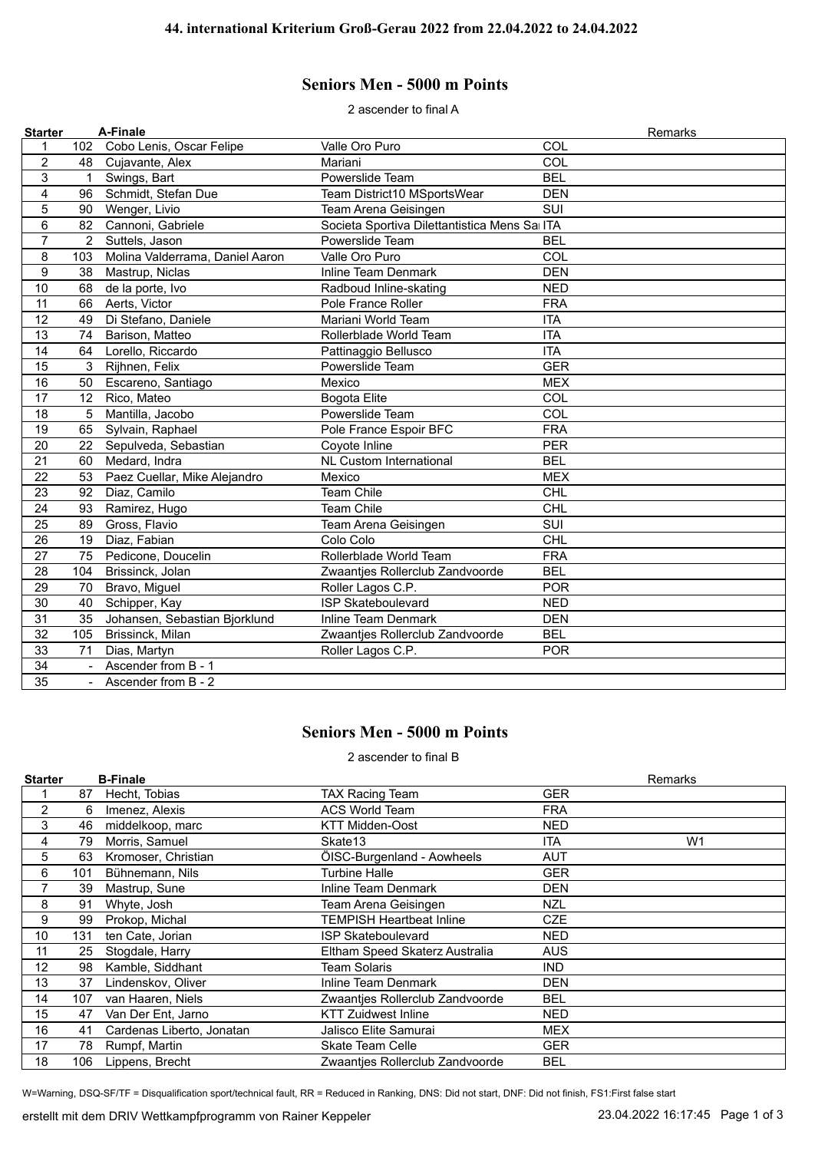## **Seniors Men - 5000 m Points**

2 ascender to final A

| <b>Starter</b>  |                | A-Finale                        |                                              | Remarks    |
|-----------------|----------------|---------------------------------|----------------------------------------------|------------|
| 1               | 102            | Cobo Lenis, Oscar Felipe        | Valle Oro Puro                               | COL        |
| $\overline{c}$  | 48             | Cujavante, Alex                 | Mariani                                      | COL        |
| 3               | $\mathbf{1}$   | Swings, Bart                    | Powerslide Team                              | <b>BEL</b> |
| 4               | 96             | Schmidt, Stefan Due             | Team District10 MSportsWear                  | <b>DEN</b> |
| 5               | 90             | Wenger, Livio                   | Team Arena Geisingen                         | SUI        |
| $6\phantom{1}6$ | 82             | Cannoni, Gabriele               | Societa Sportiva Dilettantistica Mens Sa ITA |            |
| $\overline{7}$  | $\overline{2}$ | Suttels, Jason                  | Powerslide Team                              | <b>BEL</b> |
| 8               | 103            | Molina Valderrama, Daniel Aaron | Valle Oro Puro                               | COL        |
| 9               | 38             | Mastrup, Niclas                 | <b>Inline Team Denmark</b>                   | <b>DEN</b> |
| 10              | 68             | de la porte, Ivo                | Radboud Inline-skating                       | <b>NED</b> |
| 11              | 66             | Aerts, Victor                   | Pole France Roller                           | <b>FRA</b> |
| 12              | 49             | Di Stefano, Daniele             | Mariani World Team                           | <b>ITA</b> |
| 13              | 74             | Barison, Matteo                 | Rollerblade World Team                       | <b>ITA</b> |
| 14              | 64             | Lorello, Riccardo               | Pattinaggio Bellusco                         | <b>ITA</b> |
| 15              | 3              | Rijhnen, Felix                  | Powerslide Team                              | <b>GER</b> |
| 16              | 50             | Escareno, Santiago              | Mexico                                       | <b>MEX</b> |
| 17              | 12             | Rico, Mateo                     | Bogota Elite                                 | COL        |
| 18              | 5              | Mantilla, Jacobo                | Powerslide Team                              | COL        |
| 19              | 65             | Sylvain, Raphael                | Pole France Espoir BFC                       | <b>FRA</b> |
| 20              | 22             | Sepulveda, Sebastian            | Coyote Inline                                | <b>PER</b> |
| 21              | 60             | Medard, Indra                   | <b>NL Custom International</b>               | <b>BEL</b> |
| 22              | 53             | Paez Cuellar, Mike Alejandro    | Mexico                                       | <b>MEX</b> |
| 23              | 92             | Diaz, Camilo                    | <b>Team Chile</b>                            | <b>CHL</b> |
| 24              | 93             | Ramirez, Hugo                   | <b>Team Chile</b>                            | <b>CHL</b> |
| 25              | 89             | Gross, Flavio                   | Team Arena Geisingen                         | SUI        |
| 26              | 19             | Diaz, Fabian                    | Colo Colo                                    | <b>CHL</b> |
| 27              | 75             | Pedicone, Doucelin              | Rollerblade World Team                       | <b>FRA</b> |
| 28              | 104            | Brissinck, Jolan                | Zwaantjes Rollerclub Zandvoorde              | <b>BEL</b> |
| 29              | 70             | Bravo, Miguel                   | Roller Lagos C.P.                            | <b>POR</b> |
| 30              | 40             | Schipper, Kay                   | <b>ISP Skateboulevard</b>                    | <b>NED</b> |
| 31              | 35             | Johansen, Sebastian Bjorklund   | Inline Team Denmark                          | <b>DEN</b> |
| 32              | 105            | Brissinck, Milan                | Zwaantjes Rollerclub Zandvoorde              | <b>BEL</b> |
| 33              | 71             | Dias, Martyn                    | Roller Lagos C.P.                            | <b>POR</b> |
| 34              | $\blacksquare$ | Ascender from B - 1             |                                              |            |
| 35              | $\overline{a}$ | Ascender from B - 2             |                                              |            |

## **Seniors Men - 5000 m Points**

2 ascender to final B

| <b>Starter</b> |     | <b>B-Finale</b>           |                                 |            | Remarks        |
|----------------|-----|---------------------------|---------------------------------|------------|----------------|
|                | 87  | Hecht, Tobias             | <b>TAX Racing Team</b>          | GER        |                |
| $\overline{2}$ | 6   | Imenez, Alexis            | <b>ACS World Team</b>           | <b>FRA</b> |                |
| 3              | 46  | middelkoop, marc          | <b>KTT Midden-Oost</b>          | NED        |                |
| 4              | 79  | Morris, Samuel            | Skate13                         | <b>ITA</b> | W <sub>1</sub> |
| 5              | 63  | Kromoser, Christian       | ÖISC-Burgenland - Aowheels      | AUT        |                |
| 6              | 101 | Bühnemann, Nils           | <b>Turbine Halle</b>            | <b>GER</b> |                |
| 7              | 39  | Mastrup, Sune             | Inline Team Denmark             | DEN        |                |
| 8              | 91  | Whyte, Josh               | Team Arena Geisingen            | NZL        |                |
| 9              | 99  | Prokop, Michal            | TEMPISH Heartbeat Inline        | <b>CZE</b> |                |
| 10             | 131 | ten Cate, Jorian          | <b>ISP Skateboulevard</b>       | NED        |                |
| 11             | 25  | Stogdale, Harry           | Eltham Speed Skaterz Australia  | <b>AUS</b> |                |
| 12             | 98  | Kamble, Siddhant          | Team Solaris                    | <b>IND</b> |                |
| 13             | 37  | Lindenskov, Oliver        | Inline Team Denmark             | DEN        |                |
| 14             | 107 | van Haaren, Niels         | Zwaantjes Rollerclub Zandvoorde | <b>BEL</b> |                |
| 15             | 47  | Van Der Ent, Jarno        | <b>KTT Zuidwest Inline</b>      | NED        |                |
| 16             | 41  | Cardenas Liberto, Jonatan | Jalisco Elite Samurai           | MEX        |                |
| 17             | 78  | Rumpf, Martin             | <b>Skate Team Celle</b>         | <b>GER</b> |                |
| 18             | 106 | Lippens, Brecht           | Zwaanties Rollerclub Zandvoorde | <b>BEL</b> |                |

W=Warning, DSQ-SF/TF = Disqualification sport/technical fault, RR = Reduced in Ranking, DNS: Did not start, DNF: Did not finish, FS1:First false start